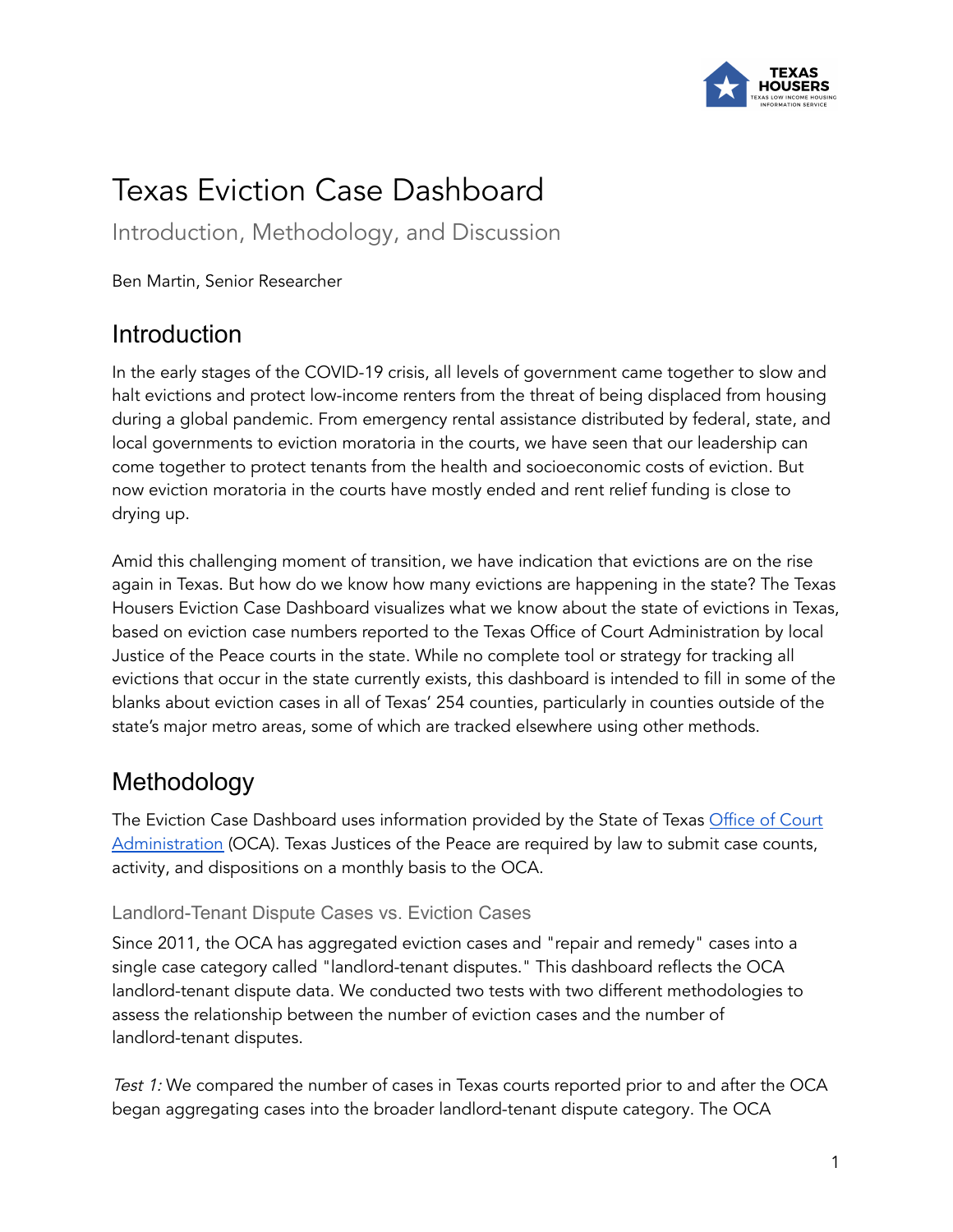

# Texas Eviction Case Dashboard

Introduction, Methodology, and Discussion

Ben Martin, Senior Researcher

### Introduction

In the early stages of the COVID-19 crisis, all levels of government came together to slow and halt evictions and protect low-income renters from the threat of being displaced from housing during a global pandemic. From emergency rental assistance distributed by federal, state, and local governments to eviction moratoria in the courts, we have seen that our leadership can come together to protect tenants from the health and socioeconomic costs of eviction. But now eviction moratoria in the courts have mostly ended and rent relief funding is close to drying up.

Amid this challenging moment of transition, we have indication that evictions are on the rise again in Texas. But how do we know how many evictions are happening in the state? The Texas Housers Eviction Case Dashboard visualizes what we know about the state of evictions in Texas, based on eviction case numbers reported to the Texas Office of Court Administration by local Justice of the Peace courts in the state. While no complete tool or strategy for tracking all evictions that occur in the state currently exists, this dashboard is intended to fill in some of the blanks about eviction cases in all of Texas' 254 counties, particularly in counties outside of the state's major metro areas, some of which are tracked elsewhere using other methods.

### Methodology

The Eviction Case Dashboard uses information provided by the State of Texas [Office](https://www.txcourts.gov/oca.aspx) of Court [Administration](https://www.txcourts.gov/oca.aspx) (OCA). Texas Justices of the Peace are required by law to submit case counts, activity, and dispositions on a monthly basis to the OCA.

#### Landlord-Tenant Dispute Cases vs. Eviction Cases

Since 2011, the OCA has aggregated eviction cases and "repair and remedy" cases into a single case category called "landlord-tenant disputes." This dashboard reflects the OCA landlord-tenant dispute data. We conducted two tests with two different methodologies to assess the relationship between the number of eviction cases and the number of landlord-tenant disputes.

Test 1: We compared the number of cases in Texas courts reported prior to and after the OCA began aggregating cases into the broader landlord-tenant dispute category. The OCA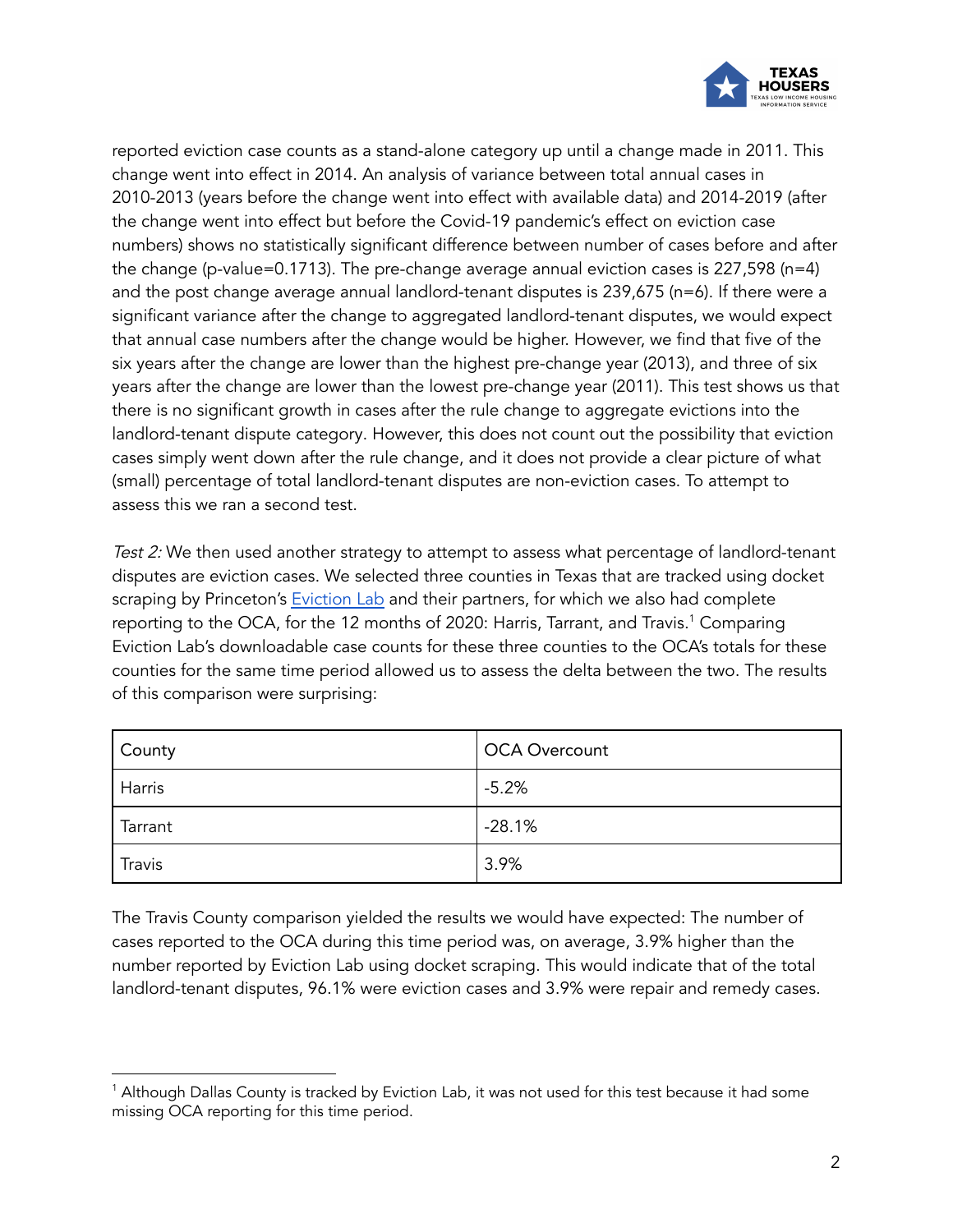

reported eviction case counts as a stand-alone category up until a change made in 2011. This change went into effect in 2014. An analysis of variance between total annual cases in 2010-2013 (years before the change went into effect with available data) and 2014-2019 (after the change went into effect but before the Covid-19 pandemic's effect on eviction case numbers) shows no statistically significant difference between number of cases before and after the change (p-value=0.1713). The pre-change average annual eviction cases is 227,598 (n=4) and the post change average annual landlord-tenant disputes is 239,675 (n=6). If there were a significant variance after the change to aggregated landlord-tenant disputes, we would expect that annual case numbers after the change would be higher. However, we find that five of the six years after the change are lower than the highest pre-change year (2013), and three of six years after the change are lower than the lowest pre-change year (2011). This test shows us that there is no significant growth in cases after the rule change to aggregate evictions into the landlord-tenant dispute category. However, this does not count out the possibility that eviction cases simply went down after the rule change, and it does not provide a clear picture of what (small) percentage of total landlord-tenant disputes are non-eviction cases. To attempt to assess this we ran a second test.

Test 2: We then used another strategy to attempt to assess what percentage of landlord-tenant disputes are eviction cases. We selected three counties in Texas that are tracked using docket scraping by Princeton's [Eviction](https://evictionlab.org/eviction-tracking/) Lab and their partners, for which we also had complete reporting to the OCA, for the 12 months of 2020: Harris, Tarrant, and Travis. <sup>1</sup> Comparing Eviction Lab's downloadable case counts for these three counties to the OCA's totals for these counties for the same time period allowed us to assess the delta between the two. The results of this comparison were surprising:

| <b>County</b> | <b>OCA Overcount</b> |
|---------------|----------------------|
| Harris        | $-5.2%$              |
| Tarrant       | $-28.1%$             |
| Travis        | 3.9%                 |

The Travis County comparison yielded the results we would have expected: The number of cases reported to the OCA during this time period was, on average, 3.9% higher than the number reported by Eviction Lab using docket scraping. This would indicate that of the total landlord-tenant disputes, 96.1% were eviction cases and 3.9% were repair and remedy cases.

<sup>1</sup> Although Dallas County is tracked by Eviction Lab, it was not used for this test because it had some missing OCA reporting for this time period.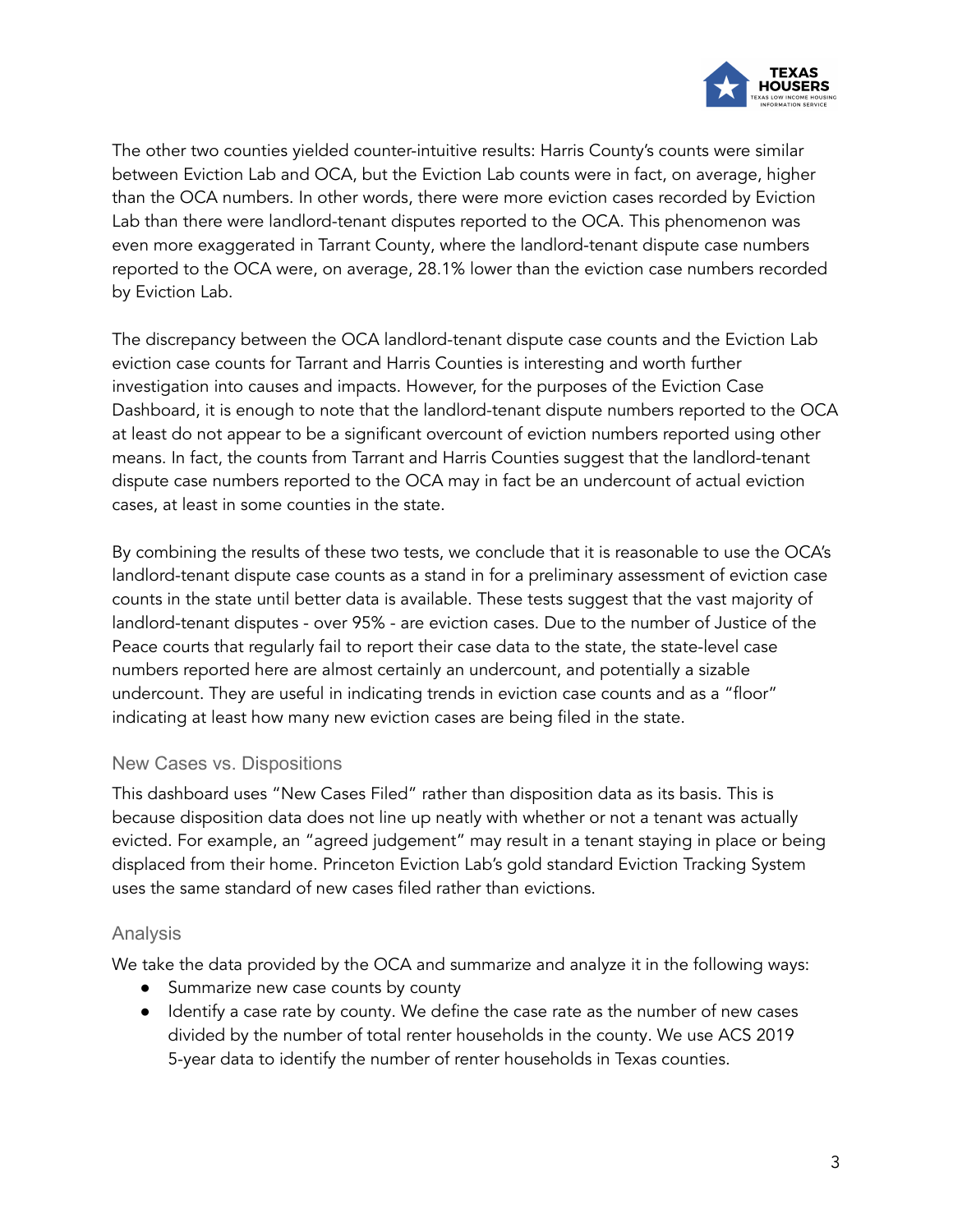

The other two counties yielded counter-intuitive results: Harris County's counts were similar between Eviction Lab and OCA, but the Eviction Lab counts were in fact, on average, higher than the OCA numbers. In other words, there were more eviction cases recorded by Eviction Lab than there were landlord-tenant disputes reported to the OCA. This phenomenon was even more exaggerated in Tarrant County, where the landlord-tenant dispute case numbers reported to the OCA were, on average, 28.1% lower than the eviction case numbers recorded by Eviction Lab.

The discrepancy between the OCA landlord-tenant dispute case counts and the Eviction Lab eviction case counts for Tarrant and Harris Counties is interesting and worth further investigation into causes and impacts. However, for the purposes of the Eviction Case Dashboard, it is enough to note that the landlord-tenant dispute numbers reported to the OCA at least do not appear to be a significant overcount of eviction numbers reported using other means. In fact, the counts from Tarrant and Harris Counties suggest that the landlord-tenant dispute case numbers reported to the OCA may in fact be an undercount of actual eviction cases, at least in some counties in the state.

By combining the results of these two tests, we conclude that it is reasonable to use the OCA's landlord-tenant dispute case counts as a stand in for a preliminary assessment of eviction case counts in the state until better data is available. These tests suggest that the vast majority of landlord-tenant disputes - over 95% - are eviction cases. Due to the number of Justice of the Peace courts that regularly fail to report their case data to the state, the state-level case numbers reported here are almost certainly an undercount, and potentially a sizable undercount. They are useful in indicating trends in eviction case counts and as a "floor" indicating at least how many new eviction cases are being filed in the state.

#### New Cases vs. Dispositions

This dashboard uses "New Cases Filed" rather than disposition data as its basis. This is because disposition data does not line up neatly with whether or not a tenant was actually evicted. For example, an "agreed judgement" may result in a tenant staying in place or being displaced from their home. Princeton Eviction Lab's gold standard Eviction Tracking System uses the same standard of new cases filed rather than evictions.

#### Analysis

We take the data provided by the OCA and summarize and analyze it in the following ways:

- Summarize new case counts by county
- Identify a case rate by county. We define the case rate as the number of new cases divided by the number of total renter households in the county. We use ACS 2019 5-year data to identify the number of renter households in Texas counties.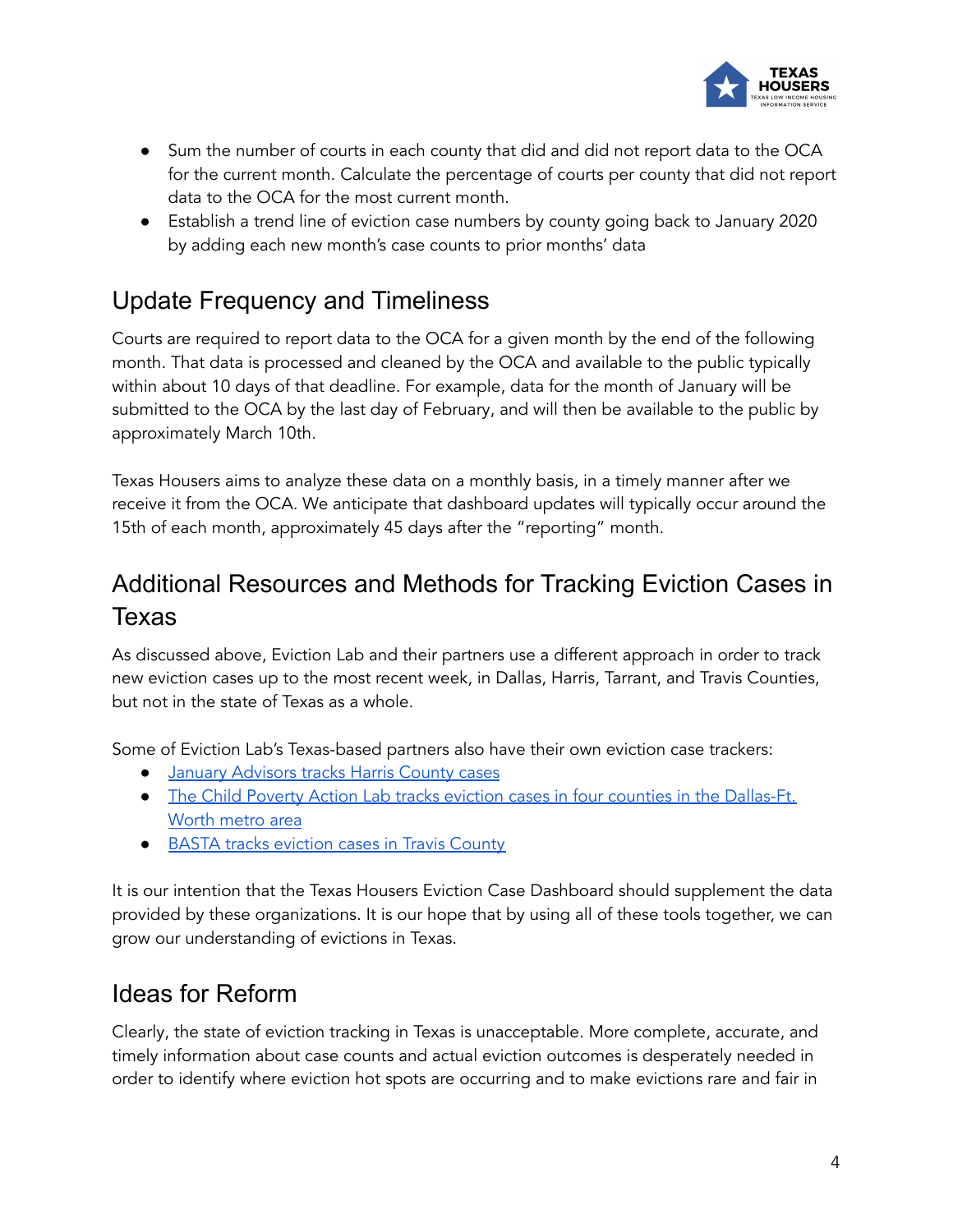

- Sum the number of courts in each county that did and did not report data to the OCA for the current month. Calculate the percentage of courts per county that did not report data to the OCA for the most current month.
- Establish a trend line of eviction case numbers by county going back to January 2020 by adding each new month's case counts to prior months' data

## Update Frequency and Timeliness

Courts are required to report data to the OCA for a given month by the end of the following month. That data is processed and cleaned by the OCA and available to the public typically within about 10 days of that deadline. For example, data for the month of January will be submitted to the OCA by the last day of February, and will then be available to the public by approximately March 10th.

Texas Housers aims to analyze these data on a monthly basis, in a timely manner after we receive it from the OCA. We anticipate that dashboard updates will typically occur around the 15th of each month, approximately 45 days after the "reporting" month.

# Additional Resources and Methods for Tracking Eviction Cases in Texas

As discussed above, Eviction Lab and their partners use a different approach in order to track new eviction cases up to the most recent week, in Dallas, Harris, Tarrant, and Travis Counties, but not in the state of Texas as a whole.

Some of Eviction Lab's Texas-based partners also have their own eviction case trackers:

- **January [Advisors](https://www.januaryadvisors.com/evictions/) tracks Harris County cases**
- The Child Poverty Action Lab tracks eviction cases in four counties in the [Dallas-Ft.](https://childpovertyactionlab.org/eviction-dashboard) [Worth](https://childpovertyactionlab.org/eviction-dashboard) metro area
- BASTA tracks [eviction](https://trla.maps.arcgis.com/apps/dashboards/8f5beb8367f44d30aa2ed6eeb2b3b3e4) cases in Travis County

It is our intention that the Texas Housers Eviction Case Dashboard should supplement the data provided by these organizations. It is our hope that by using all of these tools together, we can grow our understanding of evictions in Texas.

### Ideas for Reform

Clearly, the state of eviction tracking in Texas is unacceptable. More complete, accurate, and timely information about case counts and actual eviction outcomes is desperately needed in order to identify where eviction hot spots are occurring and to make evictions rare and fair in